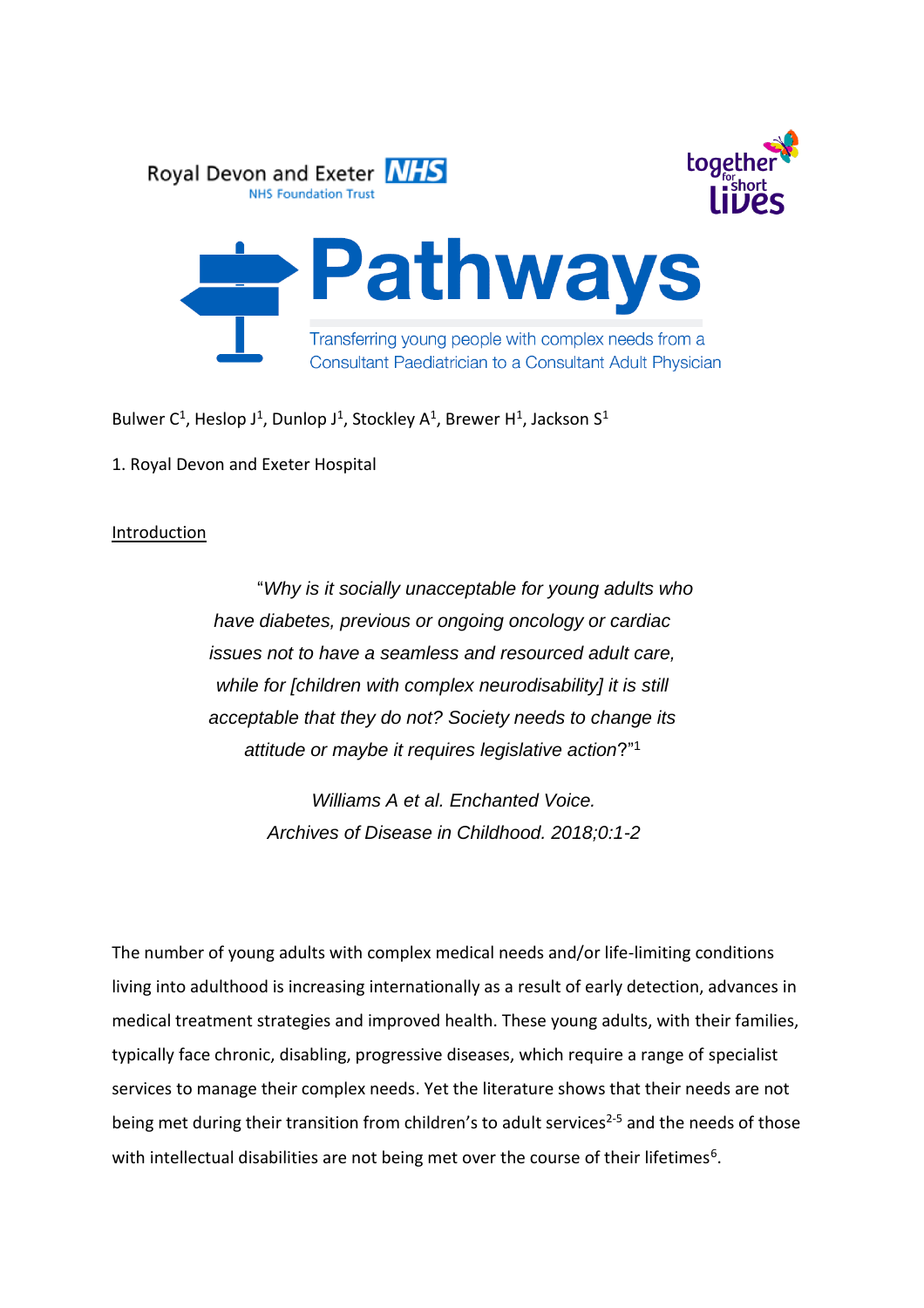

Bulwer C<sup>1</sup>, Heslop J<sup>1</sup>, Dunlop J<sup>1</sup>, Stockley A<sup>1</sup>, Brewer H<sup>1</sup>, Jackson S<sup>1</sup>

1. Royal Devon and Exeter Hospital

## **Introduction**

"*Why is it socially unacceptable for young adults who have diabetes, previous or ongoing oncology or cardiac issues not to have a seamless and resourced adult care, while for [children with complex neurodisability] it is still acceptable that they do not? Society needs to change its attitude or maybe it requires legislative action*?"<sup>1</sup>

> *Williams A et al. Enchanted Voice. Archives of Disease in Childhood. 2018;0:1-2*

The number of young adults with complex medical needs and/or life-limiting conditions living into adulthood is increasing internationally as a result of early detection, advances in medical treatment strategies and improved health. These young adults, with their families, typically face chronic, disabling, progressive diseases, which require a range of specialist services to manage their complex needs. Yet the literature shows that their needs are not being met during their transition from children's to adult services<sup>2-5</sup> and the needs of those with intellectual disabilities are not being met over the course of their lifetimes<sup>6</sup>.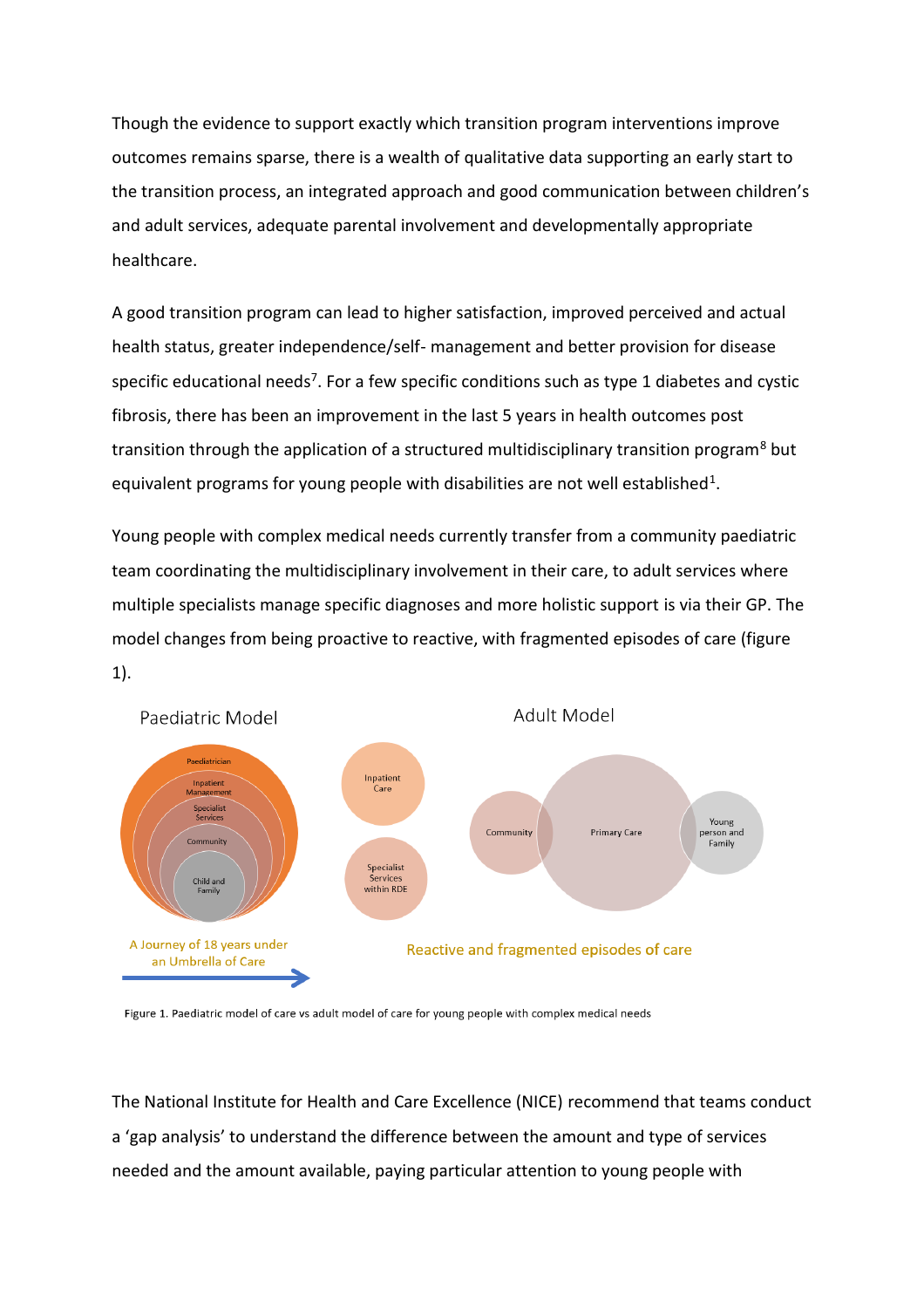Though the evidence to support exactly which transition program interventions improve outcomes remains sparse, there is a wealth of qualitative data supporting an early start to the transition process, an integrated approach and good communication between children's and adult services, adequate parental involvement and developmentally appropriate healthcare.

A good transition program can lead to higher satisfaction, improved perceived and actual health status, greater independence/self- management and better provision for disease specific educational needs<sup>7</sup>. For a few specific conditions such as type 1 diabetes and cystic fibrosis, there has been an improvement in the last 5 years in health outcomes post transition through the application of a structured multidisciplinary transition program<sup>8</sup> but equivalent programs for young people with disabilities are not well established<sup>1</sup>.

Young people with complex medical needs currently transfer from a community paediatric team coordinating the multidisciplinary involvement in their care, to adult services where multiple specialists manage specific diagnoses and more holistic support is via their GP. The model changes from being proactive to reactive, with fragmented episodes of care (figure 1).



Figure 1. Paediatric model of care vs adult model of care for young people with complex medical needs

The National Institute for Health and Care Excellence (NICE) recommend that teams conduct a 'gap analysis' to understand the difference between the amount and type of services needed and the amount available, paying particular attention to young people with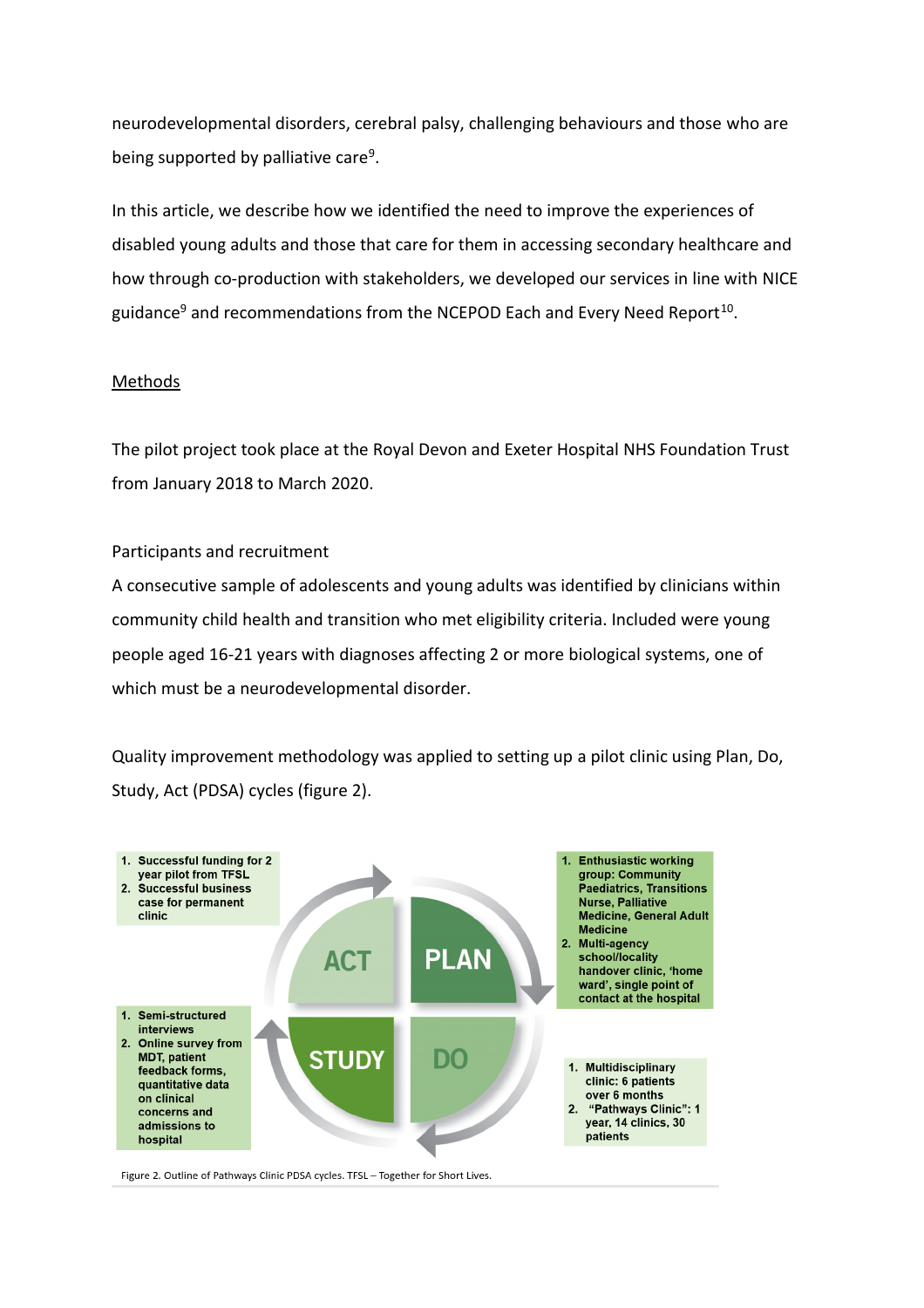neurodevelopmental disorders, cerebral palsy, challenging behaviours and those who are being supported by palliative care<sup>9</sup>.

In this article, we describe how we identified the need to improve the experiences of disabled young adults and those that care for them in accessing secondary healthcare and how through co-production with stakeholders, we developed our services in line with NICE guidance<sup>9</sup> and recommendations from the NCEPOD Each and Every Need Report<sup>10</sup>.

# Methods

The pilot project took place at the Royal Devon and Exeter Hospital NHS Foundation Trust from January 2018 to March 2020.

## Participants and recruitment

A consecutive sample of adolescents and young adults was identified by clinicians within community child health and transition who met eligibility criteria. Included were young people aged 16-21 years with diagnoses affecting 2 or more biological systems, one of which must be a neurodevelopmental disorder.

Quality improvement methodology was applied to setting up a pilot clinic using Plan, Do, Study, Act (PDSA) cycles (figure 2).



Figure 2. Outline of Pathways Clinic PDSA cycles. TFSL - Together for Short Lives.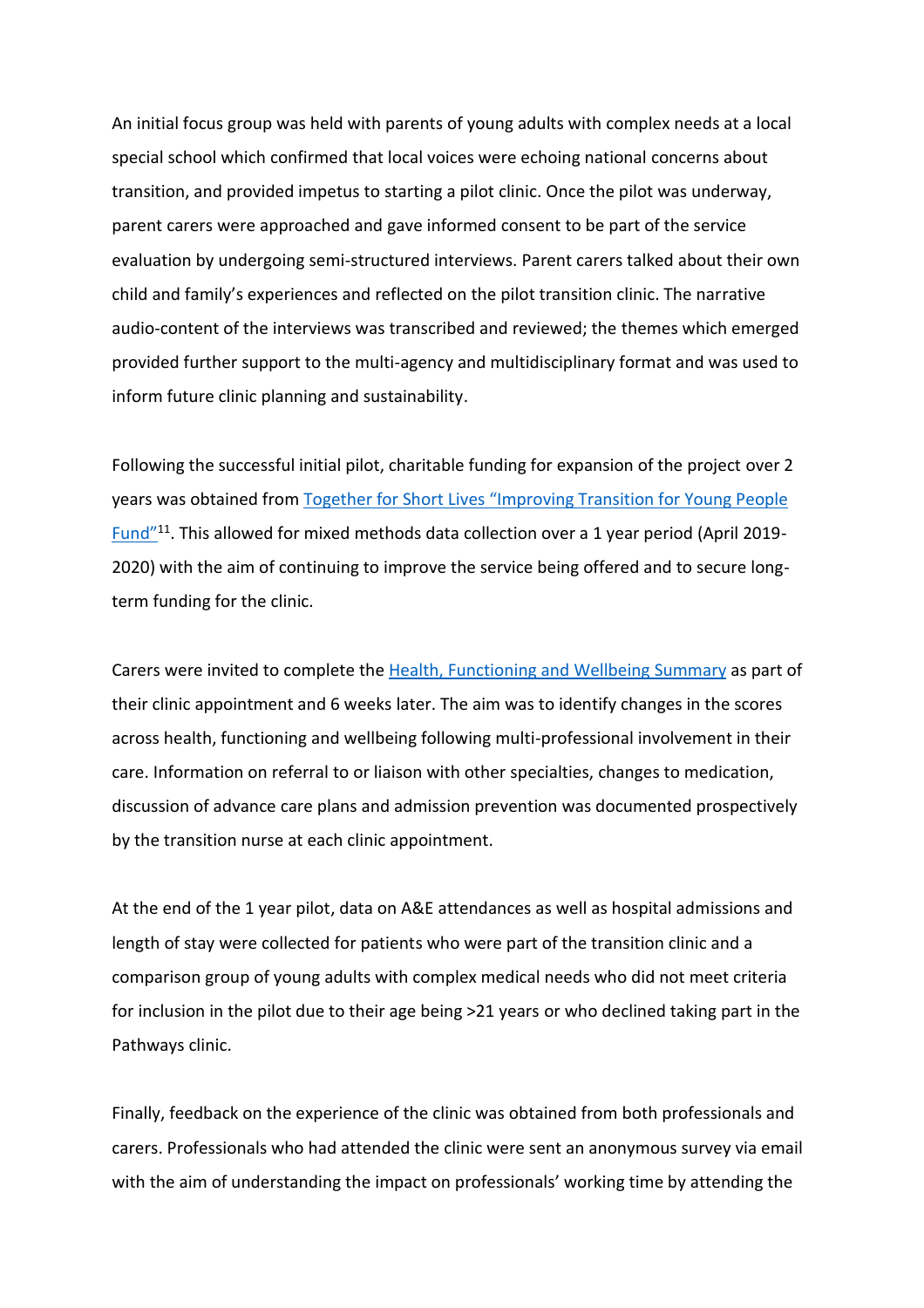An initial focus group was held with parents of young adults with complex needs at a local special school which confirmed that local voices were echoing national concerns about transition, and provided impetus to starting a pilot clinic. Once the pilot was underway, parent carers were approached and gave informed consent to be part of the service evaluation by undergoing semi-structured interviews. Parent carers talked about their own child and family's experiences and reflected on the pilot transition clinic. The narrative audio-content of the interviews was transcribed and reviewed; the themes which emerged provided further support to the multi-agency and multidisciplinary format and was used to inform future clinic planning and sustainability.

Following the successful initial pilot, charitable funding for expansion of the project over 2 years was obtained from Together for Short Lives ["Improving Transition for Young People](https://www.togetherforshortlives.org.uk/changing-lives/developing-services/transition-adult-services/awards-programme/)  <u>[Fund"](https://www.togetherforshortlives.org.uk/changing-lives/developing-services/transition-adult-services/awards-programme/)</u><sup>11</sup>. This allowed for mixed methods data collection over a 1 year period (April 2019-2020) with the aim of continuing to improve the service being offered and to secure longterm funding for the clinic.

Carers were invited to complete the [Health, Functioning and Wellbeing Summary](https://www.mefirst.org.uk/resource/the-traffic-light-communication-tool/#:~:text=The%20Health%2C%20Functioning%20and%20Wellbeing,things%20that%20are%20going%20well.) as part of their clinic appointment and 6 weeks later. The aim was to identify changes in the scores across health, functioning and wellbeing following multi-professional involvement in their care. Information on referral to or liaison with other specialties, changes to medication, discussion of advance care plans and admission prevention was documented prospectively by the transition nurse at each clinic appointment.

At the end of the 1 year pilot, data on A&E attendances as well as hospital admissions and length of stay were collected for patients who were part of the transition clinic and a comparison group of young adults with complex medical needs who did not meet criteria for inclusion in the pilot due to their age being >21 years or who declined taking part in the Pathways clinic.

Finally, feedback on the experience of the clinic was obtained from both professionals and carers. Professionals who had attended the clinic were sent an anonymous survey via email with the aim of understanding the impact on professionals' working time by attending the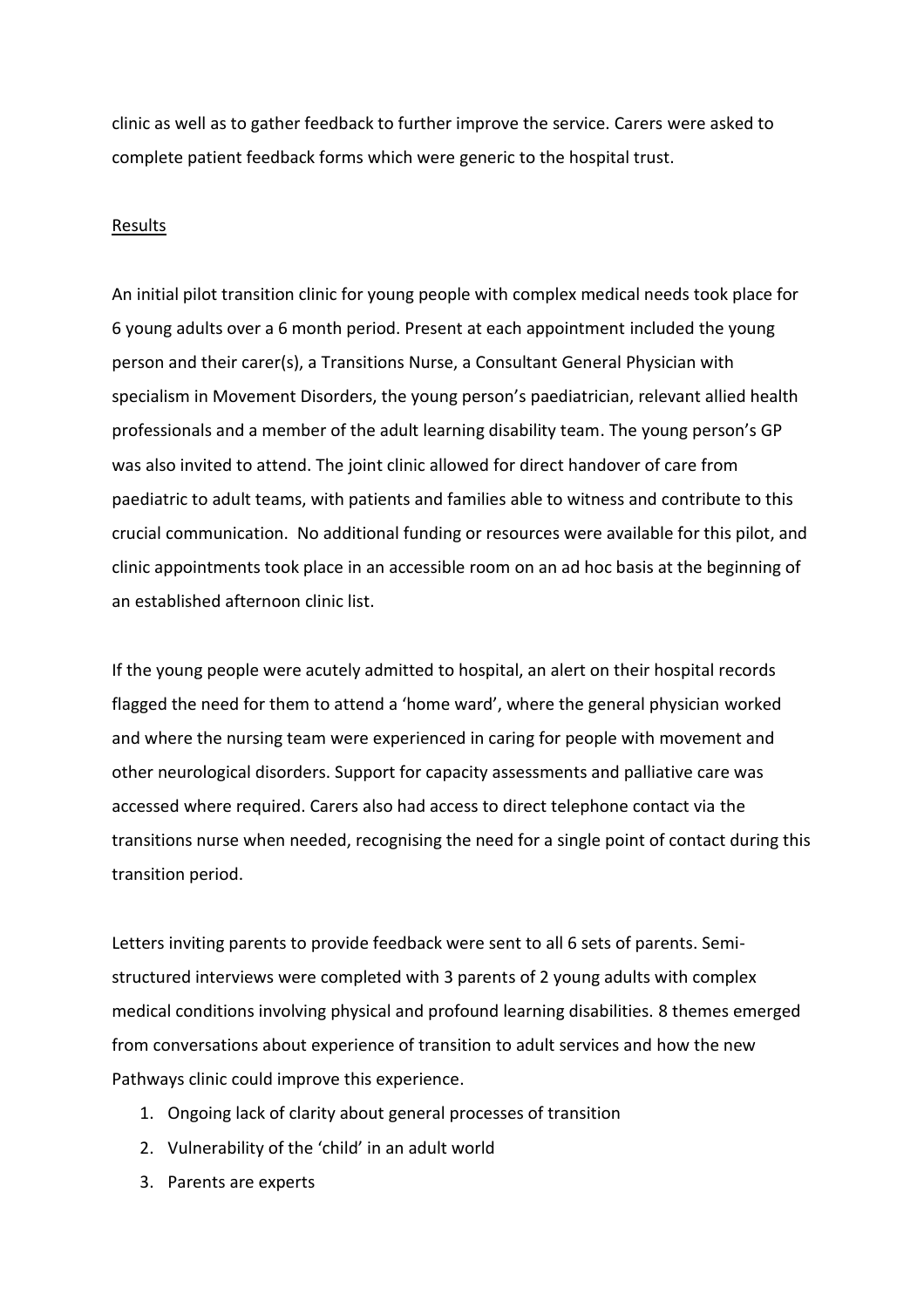clinic as well as to gather feedback to further improve the service. Carers were asked to complete patient feedback forms which were generic to the hospital trust.

### Results

An initial pilot transition clinic for young people with complex medical needs took place for 6 young adults over a 6 month period. Present at each appointment included the young person and their carer(s), a Transitions Nurse, a Consultant General Physician with specialism in Movement Disorders, the young person's paediatrician, relevant allied health professionals and a member of the adult learning disability team. The young person's GP was also invited to attend. The joint clinic allowed for direct handover of care from paediatric to adult teams, with patients and families able to witness and contribute to this crucial communication. No additional funding or resources were available for this pilot, and clinic appointments took place in an accessible room on an ad hoc basis at the beginning of an established afternoon clinic list.

If the young people were acutely admitted to hospital, an alert on their hospital records flagged the need for them to attend a 'home ward', where the general physician worked and where the nursing team were experienced in caring for people with movement and other neurological disorders. Support for capacity assessments and palliative care was accessed where required. Carers also had access to direct telephone contact via the transitions nurse when needed, recognising the need for a single point of contact during this transition period.

Letters inviting parents to provide feedback were sent to all 6 sets of parents. Semistructured interviews were completed with 3 parents of 2 young adults with complex medical conditions involving physical and profound learning disabilities. 8 themes emerged from conversations about experience of transition to adult services and how the new Pathways clinic could improve this experience.

- 1. Ongoing lack of clarity about general processes of transition
- 2. Vulnerability of the 'child' in an adult world
- 3. Parents are experts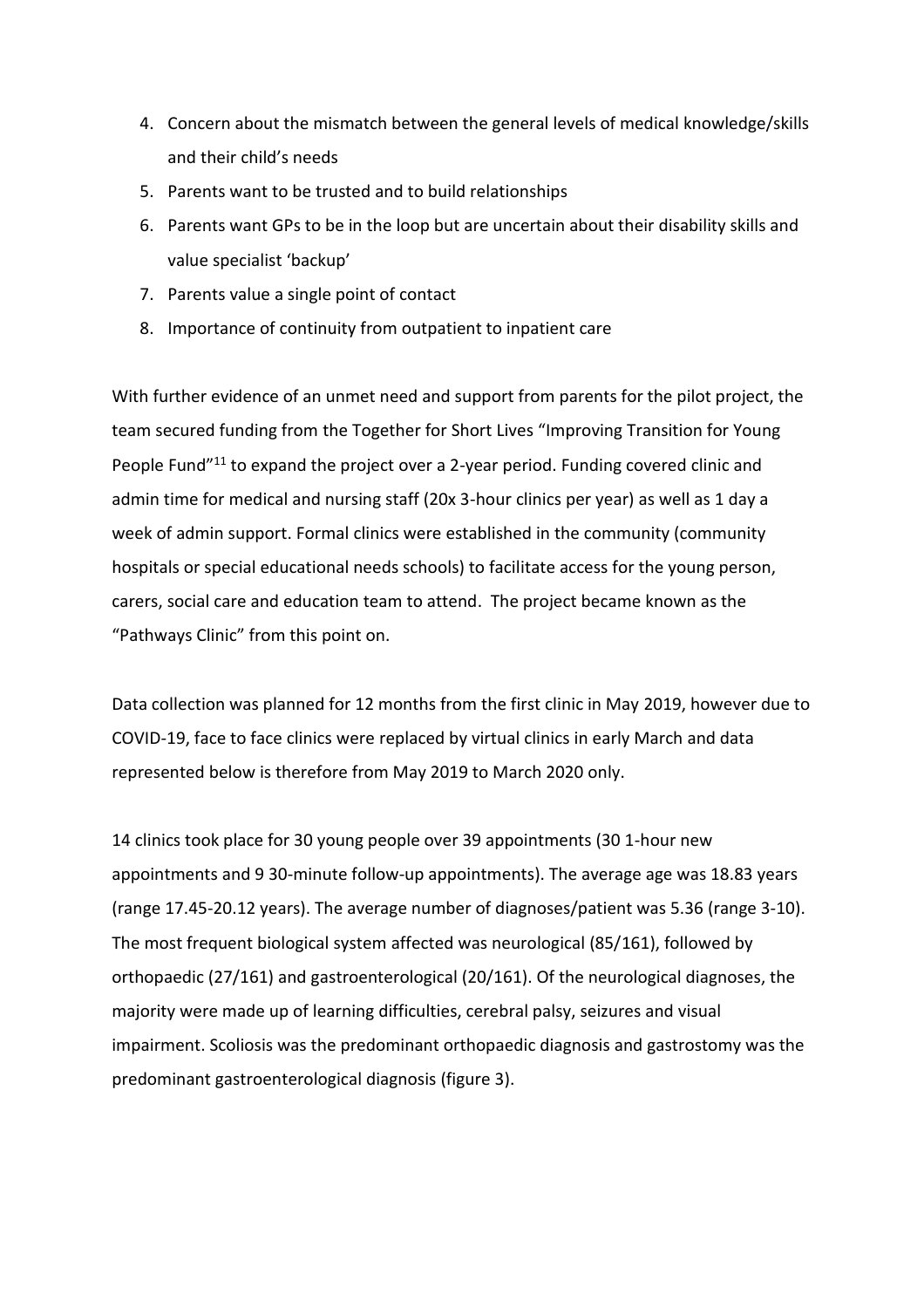- 4. Concern about the mismatch between the general levels of medical knowledge/skills and their child's needs
- 5. Parents want to be trusted and to build relationships
- 6. Parents want GPs to be in the loop but are uncertain about their disability skills and value specialist 'backup'
- 7. Parents value a single point of contact
- 8. Importance of continuity from outpatient to inpatient care

With further evidence of an unmet need and support from parents for the pilot project, the team secured funding from the Together for Short Lives "Improving Transition for Young People Fund"<sup>11</sup> to expand the project over a 2-year period. Funding covered clinic and admin time for medical and nursing staff (20x 3-hour clinics per year) as well as 1 day a week of admin support. Formal clinics were established in the community (community hospitals or special educational needs schools) to facilitate access for the young person, carers, social care and education team to attend. The project became known as the "Pathways Clinic" from this point on.

Data collection was planned for 12 months from the first clinic in May 2019, however due to COVID-19, face to face clinics were replaced by virtual clinics in early March and data represented below is therefore from May 2019 to March 2020 only.

14 clinics took place for 30 young people over 39 appointments (30 1-hour new appointments and 9 30-minute follow-up appointments). The average age was 18.83 years (range 17.45-20.12 years). The average number of diagnoses/patient was 5.36 (range 3-10). The most frequent biological system affected was neurological (85/161), followed by orthopaedic (27/161) and gastroenterological (20/161). Of the neurological diagnoses, the majority were made up of learning difficulties, cerebral palsy, seizures and visual impairment. Scoliosis was the predominant orthopaedic diagnosis and gastrostomy was the predominant gastroenterological diagnosis (figure 3).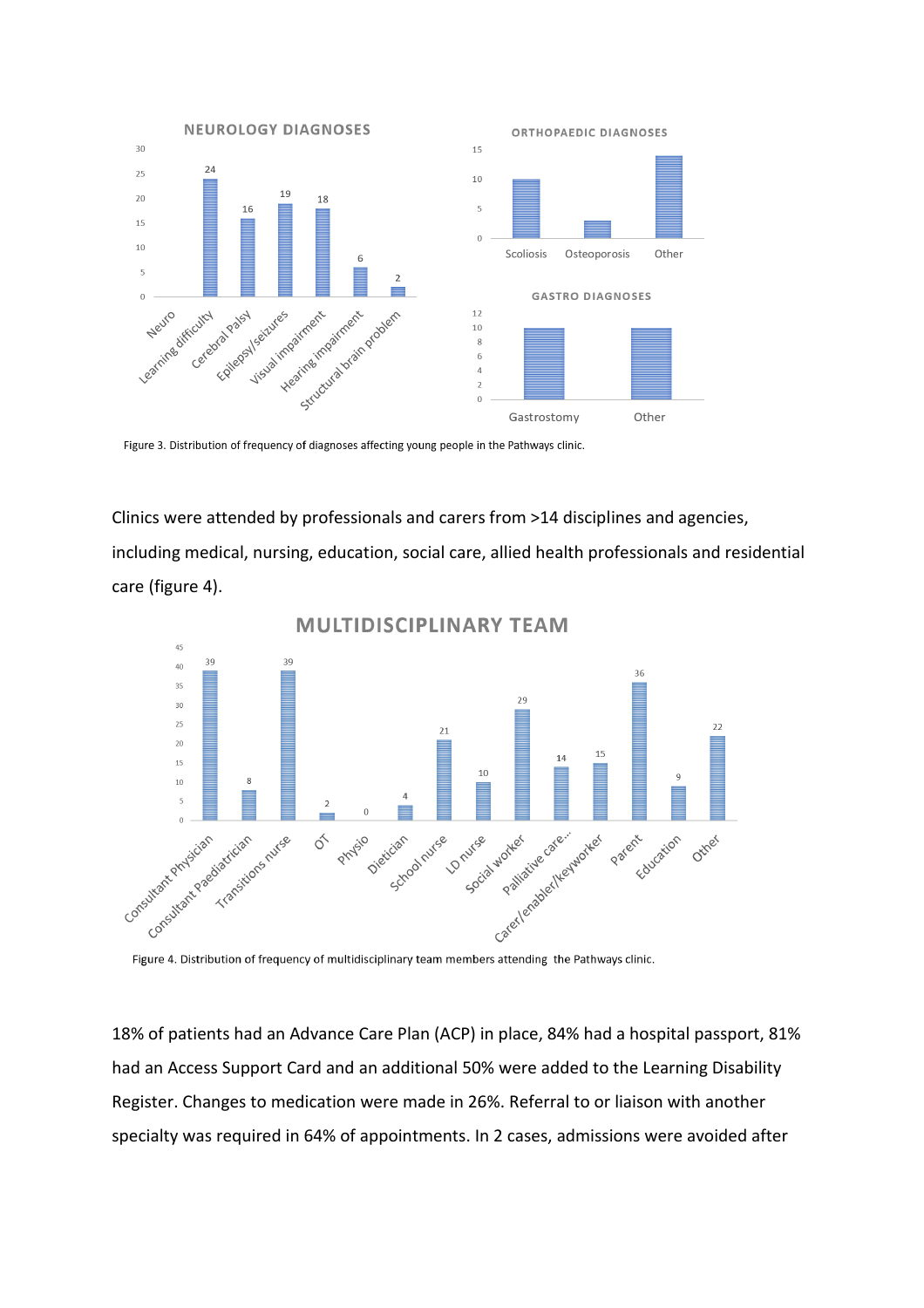

Figure 3. Distribution of frequency of diagnoses affecting young people in the Pathways clinic.

Clinics were attended by professionals and carers from >14 disciplines and agencies, including medical, nursing, education, social care, allied health professionals and residential care (figure 4).



**MULTIDISCIPLINARY TEAM** 

Figure 4. Distribution of frequency of multidisciplinary team members attending the Pathways clinic.

18% of patients had an Advance Care Plan (ACP) in place, 84% had a hospital passport, 81% had an Access Support Card and an additional 50% were added to the Learning Disability Register. Changes to medication were made in 26%. Referral to or liaison with another specialty was required in 64% of appointments. In 2 cases, admissions were avoided after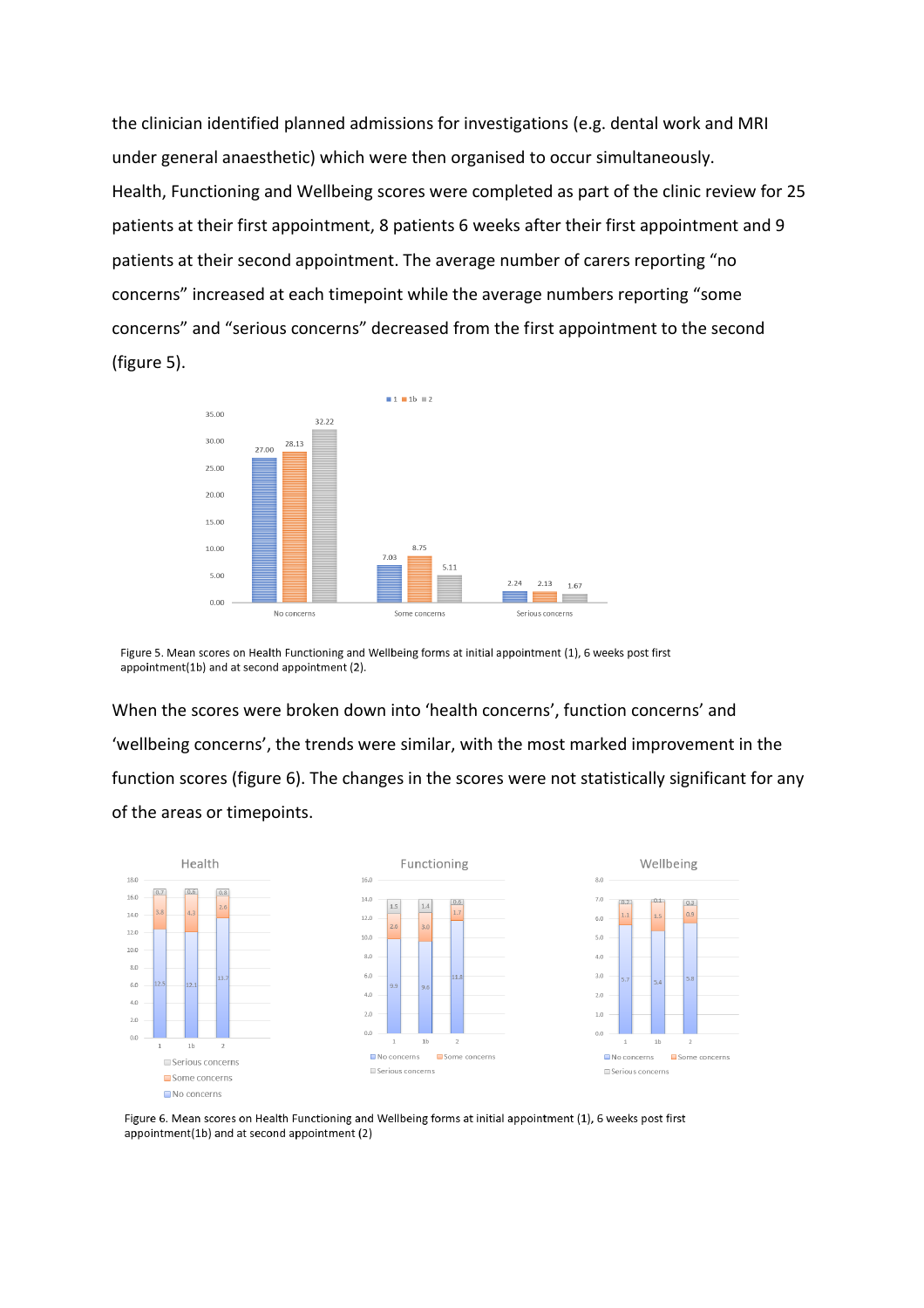the clinician identified planned admissions for investigations (e.g. dental work and MRI under general anaesthetic) which were then organised to occur simultaneously. Health, Functioning and Wellbeing scores were completed as part of the clinic review for 25 patients at their first appointment, 8 patients 6 weeks after their first appointment and 9 patients at their second appointment. The average number of carers reporting "no concerns" increased at each timepoint while the average numbers reporting "some concerns" and "serious concerns" decreased from the first appointment to the second (figure 5).



Figure 5. Mean scores on Health Functioning and Wellbeing forms at initial appointment (1), 6 weeks post first appointment(1b) and at second appointment (2).

When the scores were broken down into 'health concerns', function concerns' and 'wellbeing concerns', the trends were similar, with the most marked improvement in the function scores (figure 6). The changes in the scores were not statistically significant for any of the areas or timepoints.



Figure 6. Mean scores on Health Functioning and Wellbeing forms at initial appointment (1), 6 weeks post first appointment(1b) and at second appointment (2)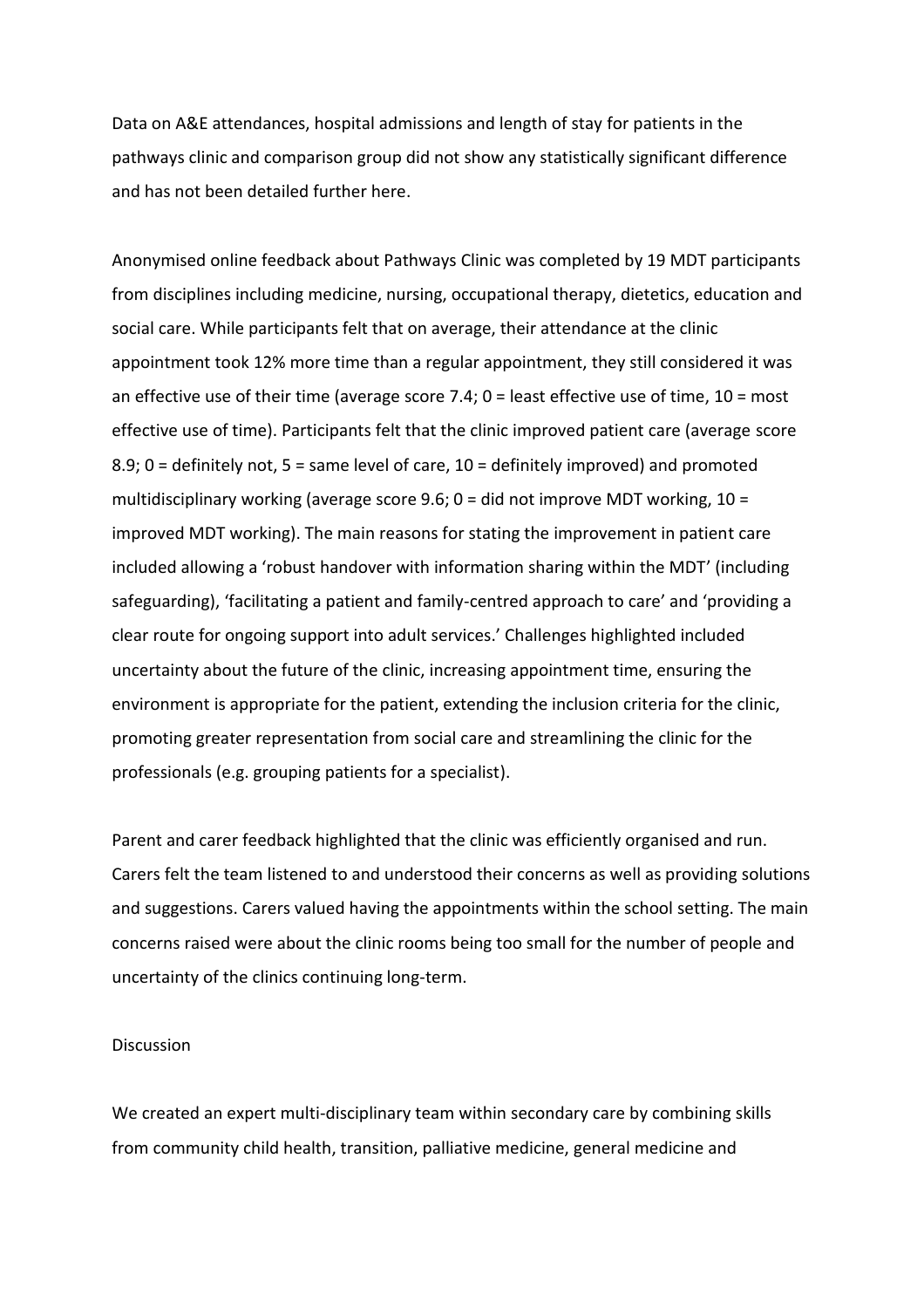Data on A&E attendances, hospital admissions and length of stay for patients in the pathways clinic and comparison group did not show any statistically significant difference and has not been detailed further here.

Anonymised online feedback about Pathways Clinic was completed by 19 MDT participants from disciplines including medicine, nursing, occupational therapy, dietetics, education and social care. While participants felt that on average, their attendance at the clinic appointment took 12% more time than a regular appointment, they still considered it was an effective use of their time (average score 7.4; 0 = least effective use of time, 10 = most effective use of time). Participants felt that the clinic improved patient care (average score 8.9; 0 = definitely not, 5 = same level of care, 10 = definitely improved) and promoted multidisciplinary working (average score 9.6;  $0 =$  did not improve MDT working,  $10 =$ improved MDT working). The main reasons for stating the improvement in patient care included allowing a 'robust handover with information sharing within the MDT' (including safeguarding), 'facilitating a patient and family-centred approach to care' and 'providing a clear route for ongoing support into adult services.' Challenges highlighted included uncertainty about the future of the clinic, increasing appointment time, ensuring the environment is appropriate for the patient, extending the inclusion criteria for the clinic, promoting greater representation from social care and streamlining the clinic for the professionals (e.g. grouping patients for a specialist).

Parent and carer feedback highlighted that the clinic was efficiently organised and run. Carers felt the team listened to and understood their concerns as well as providing solutions and suggestions. Carers valued having the appointments within the school setting. The main concerns raised were about the clinic rooms being too small for the number of people and uncertainty of the clinics continuing long-term.

#### Discussion

We created an expert multi-disciplinary team within secondary care by combining skills from community child health, transition, palliative medicine, general medicine and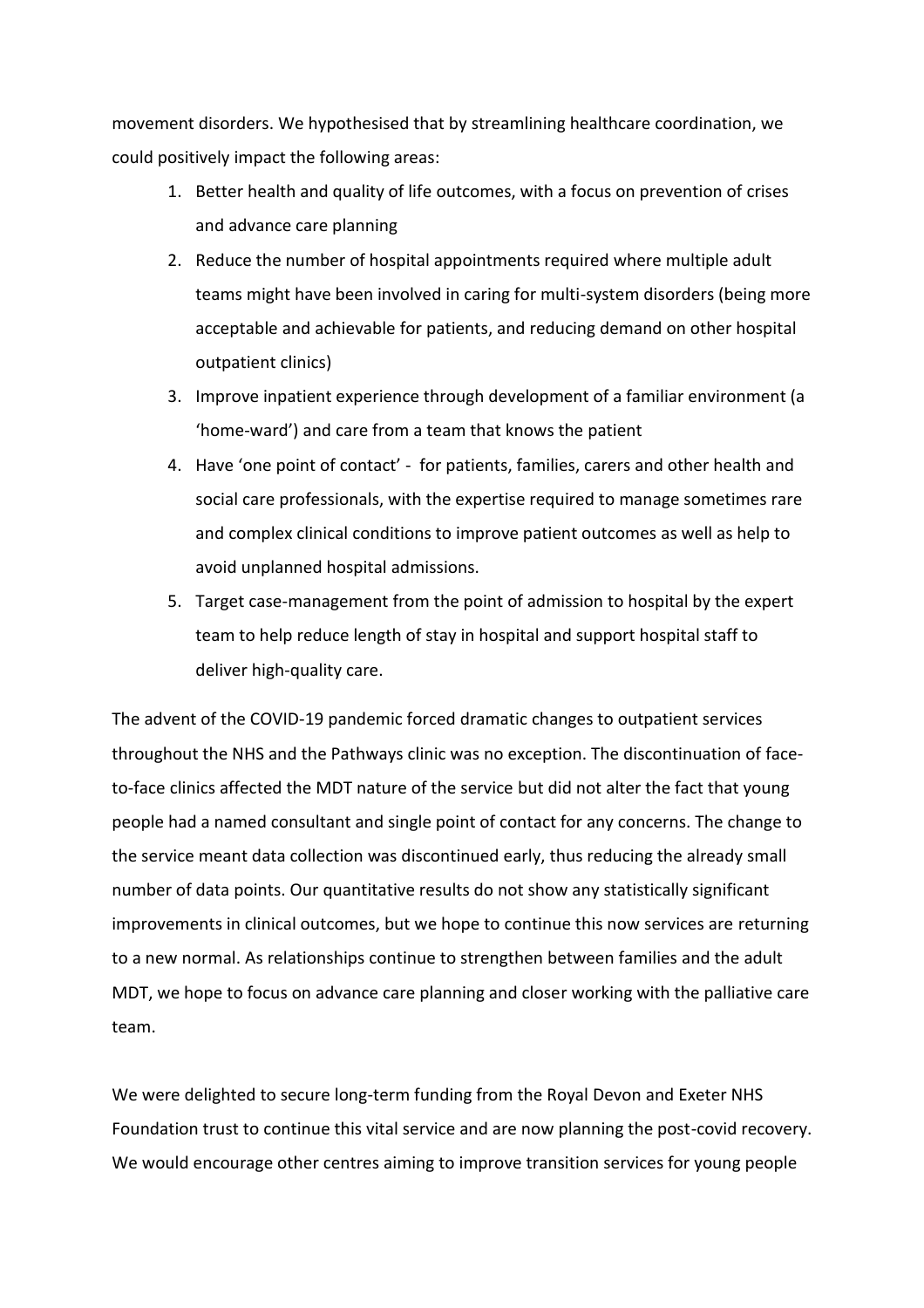movement disorders. We hypothesised that by streamlining healthcare coordination, we could positively impact the following areas:

- 1. Better health and quality of life outcomes, with a focus on prevention of crises and advance care planning
- 2. Reduce the number of hospital appointments required where multiple adult teams might have been involved in caring for multi-system disorders (being more acceptable and achievable for patients, and reducing demand on other hospital outpatient clinics)
- 3. Improve inpatient experience through development of a familiar environment (a 'home-ward') and care from a team that knows the patient
- 4. Have 'one point of contact' for patients, families, carers and other health and social care professionals, with the expertise required to manage sometimes rare and complex clinical conditions to improve patient outcomes as well as help to avoid unplanned hospital admissions.
- 5. Target case-management from the point of admission to hospital by the expert team to help reduce length of stay in hospital and support hospital staff to deliver high-quality care.

The advent of the COVID-19 pandemic forced dramatic changes to outpatient services throughout the NHS and the Pathways clinic was no exception. The discontinuation of faceto-face clinics affected the MDT nature of the service but did not alter the fact that young people had a named consultant and single point of contact for any concerns. The change to the service meant data collection was discontinued early, thus reducing the already small number of data points. Our quantitative results do not show any statistically significant improvements in clinical outcomes, but we hope to continue this now services are returning to a new normal. As relationships continue to strengthen between families and the adult MDT, we hope to focus on advance care planning and closer working with the palliative care team.

We were delighted to secure long-term funding from the Royal Devon and Exeter NHS Foundation trust to continue this vital service and are now planning the post-covid recovery. We would encourage other centres aiming to improve transition services for young people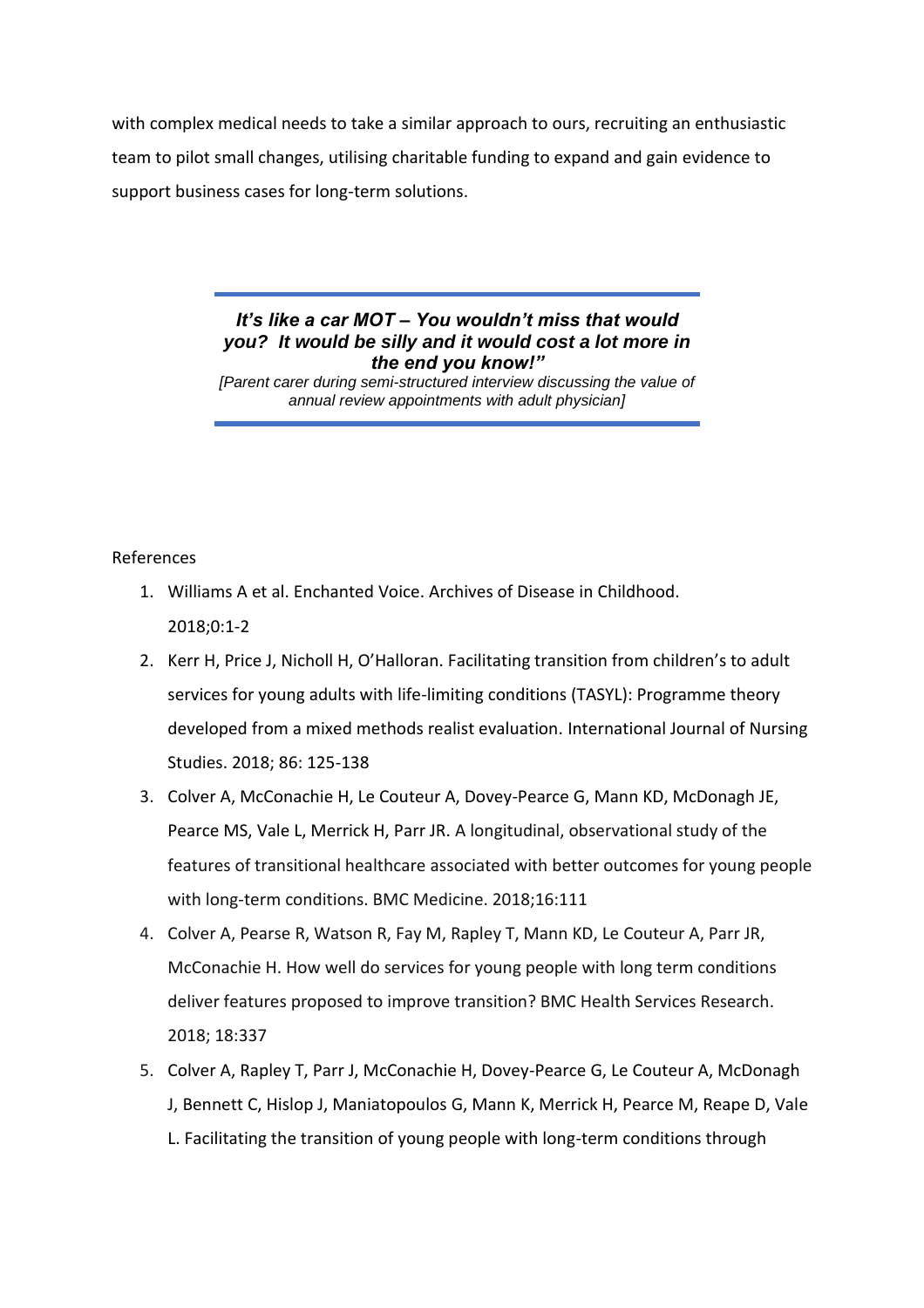with complex medical needs to take a similar approach to ours, recruiting an enthusiastic team to pilot small changes, utilising charitable funding to expand and gain evidence to support business cases for long-term solutions.

> *It's like a car MOT – You wouldn't miss that would you? It would be silly and it would cost a lot more in the end you know!"*

> *[Parent carer during semi-structured interview discussing the value of annual review appointments with adult physician]*

### References

- 1. Williams A et al. Enchanted Voice. Archives of Disease in Childhood. 2018;0:1-2
- 2. Kerr H, Price J, Nicholl H, O'Halloran. Facilitating transition from children's to adult services for young adults with life-limiting conditions (TASYL): Programme theory developed from a mixed methods realist evaluation. International Journal of Nursing Studies. 2018; 86: 125-138
- 3. Colver A, McConachie H, Le Couteur A, Dovey-Pearce G, Mann KD, McDonagh JE, Pearce MS, Vale L, Merrick H, Parr JR. A longitudinal, observational study of the features of transitional healthcare associated with better outcomes for young people with long-term conditions. BMC Medicine. 2018;16:111
- 4. Colver A, Pearse R, Watson R, Fay M, Rapley T, Mann KD, Le Couteur A, Parr JR, McConachie H. How well do services for young people with long term conditions deliver features proposed to improve transition? BMC Health Services Research. 2018; 18:337
- 5. Colver A, Rapley T, Parr J, McConachie H, Dovey-Pearce G, Le Couteur A, McDonagh J, Bennett C, Hislop J, Maniatopoulos G, Mann K, Merrick H, Pearce M, Reape D, Vale L. Facilitating the transition of young people with long-term conditions through